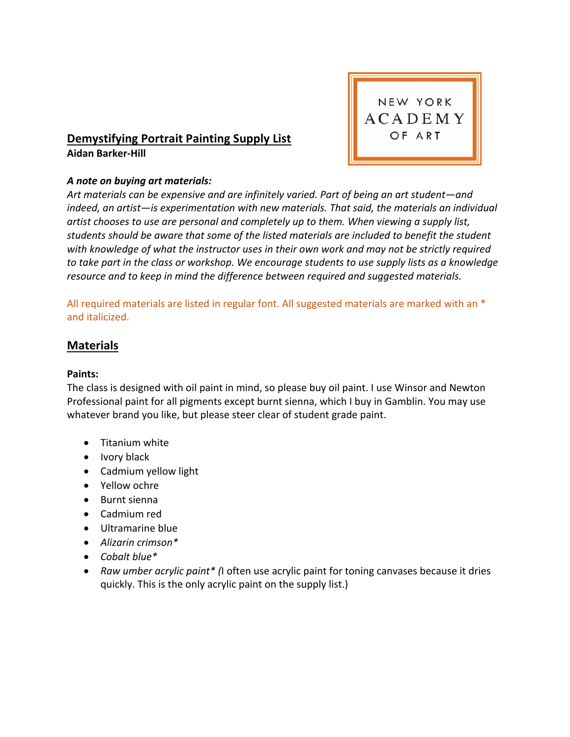

# **Demystifying Portrait Painting Supply List Aidan Barker-Hill**

## *A note on buying art materials:*

*Art materials can be expensive and are infinitely varied. Part of being an art student—and indeed, an artist—is experimentation with new materials. That said, the materials an individual artist chooses to use are personal and completely up to them. When viewing a supply list, students should be aware that some of the listed materials are included to benefit the student with knowledge of what the instructor uses in their own work and may not be strictly required to take part in the class or workshop. We encourage students to use supply lists as a knowledge resource and to keep in mind the difference between required and suggested materials.* 

All required materials are listed in regular font. All suggested materials are marked with an \* and italicized.

## **Materials**

#### **Paints:**

The class is designed with oil paint in mind, so please buy oil paint. I use Winsor and Newton Professional paint for all pigments except burnt sienna, which I buy in Gamblin. You may use whatever brand you like, but please steer clear of student grade paint.

- Titanium white
- Ivory black
- Cadmium yellow light
- Yellow ochre
- Burnt sienna
- Cadmium red
- Ultramarine blue
- *Alizarin crimson\**
- *Cobalt blue\**
- *Raw umber acrylic paint\* (*I often use acrylic paint for toning canvases because it dries quickly. This is the only acrylic paint on the supply list.)